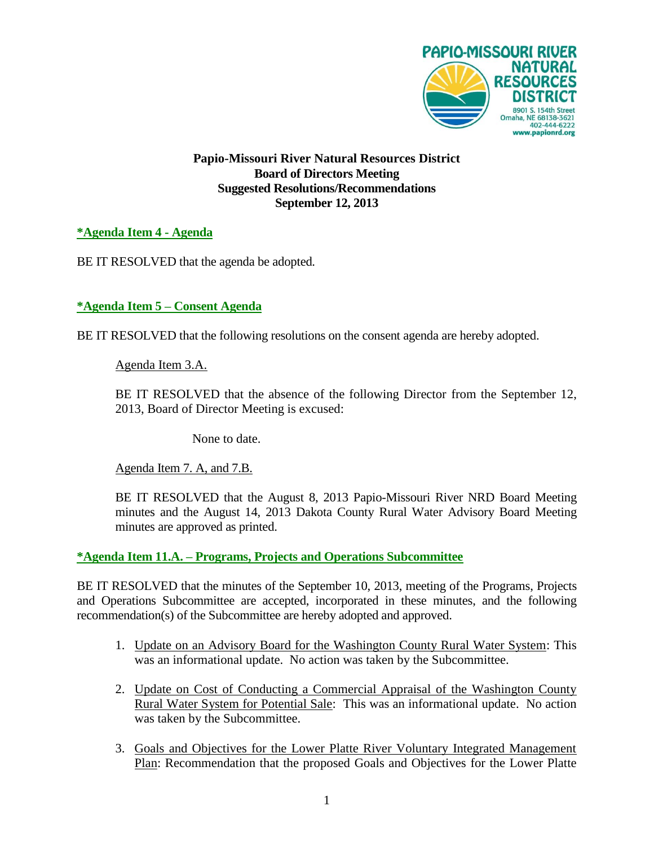

## **Papio-Missouri River Natural Resources District Board of Directors Meeting Suggested Resolutions/Recommendations September 12, 2013**

# **\*Agenda Item 4 - Agenda**

BE IT RESOLVED that the agenda be adopted.

### **\*Agenda Item 5 – Consent Agenda**

BE IT RESOLVED that the following resolutions on the consent agenda are hereby adopted.

Agenda Item 3.A.

BE IT RESOLVED that the absence of the following Director from the September 12, 2013, Board of Director Meeting is excused:

None to date.

Agenda Item 7. A, and 7.B.

BE IT RESOLVED that the August 8, 2013 Papio-Missouri River NRD Board Meeting minutes and the August 14, 2013 Dakota County Rural Water Advisory Board Meeting minutes are approved as printed.

#### **\*Agenda Item 11.A. – Programs, Projects and Operations Subcommittee**

BE IT RESOLVED that the minutes of the September 10, 2013, meeting of the Programs, Projects and Operations Subcommittee are accepted, incorporated in these minutes, and the following recommendation(s) of the Subcommittee are hereby adopted and approved.

- 1. Update on an Advisory Board for the Washington County Rural Water System: This was an informational update. No action was taken by the Subcommittee.
- 2. Update on Cost of Conducting a Commercial Appraisal of the Washington County Rural Water System for Potential Sale: This was an informational update. No action was taken by the Subcommittee.
- 3. Goals and Objectives for the Lower Platte River Voluntary Integrated Management Plan: Recommendation that the proposed Goals and Objectives for the Lower Platte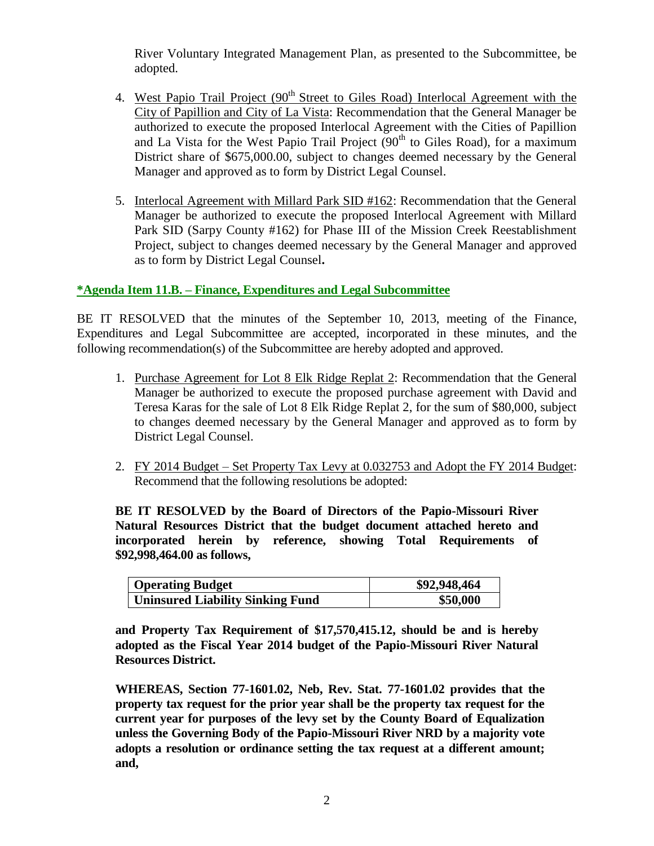River Voluntary Integrated Management Plan, as presented to the Subcommittee, be adopted.

- 4. West Papio Trail Project  $(90<sup>th</sup>$  Street to Giles Road) Interlocal Agreement with the City of Papillion and City of La Vista: Recommendation that the General Manager be authorized to execute the proposed Interlocal Agreement with the Cities of Papillion and La Vista for the West Papio Trail Project  $(90<sup>th</sup>$  to Giles Road), for a maximum District share of \$675,000.00, subject to changes deemed necessary by the General Manager and approved as to form by District Legal Counsel.
- 5. Interlocal Agreement with Millard Park SID #162: Recommendation that the General Manager be authorized to execute the proposed Interlocal Agreement with Millard Park SID (Sarpy County #162) for Phase III of the Mission Creek Reestablishment Project, subject to changes deemed necessary by the General Manager and approved as to form by District Legal Counsel**.**

### **\*Agenda Item 11.B. – Finance, Expenditures and Legal Subcommittee**

BE IT RESOLVED that the minutes of the September 10, 2013, meeting of the Finance, Expenditures and Legal Subcommittee are accepted, incorporated in these minutes, and the following recommendation(s) of the Subcommittee are hereby adopted and approved.

- 1. Purchase Agreement for Lot 8 Elk Ridge Replat 2: Recommendation that the General Manager be authorized to execute the proposed purchase agreement with David and Teresa Karas for the sale of Lot 8 Elk Ridge Replat 2, for the sum of \$80,000, subject to changes deemed necessary by the General Manager and approved as to form by District Legal Counsel.
- 2. FY 2014 Budget Set Property Tax Levy at 0.032753 and Adopt the FY 2014 Budget: Recommend that the following resolutions be adopted:

**BE IT RESOLVED by the Board of Directors of the Papio-Missouri River Natural Resources District that the budget document attached hereto and incorporated herein by reference, showing Total Requirements of \$92,998,464.00 as follows,**

| Operating Budget                 | \$92,948,464 |
|----------------------------------|--------------|
| Uninsured Liability Sinking Fund | \$50,000     |

**and Property Tax Requirement of \$17,570,415.12, should be and is hereby adopted as the Fiscal Year 2014 budget of the Papio-Missouri River Natural Resources District.**

**WHEREAS, Section 77-1601.02, Neb, Rev. Stat. 77-1601.02 provides that the property tax request for the prior year shall be the property tax request for the current year for purposes of the levy set by the County Board of Equalization unless the Governing Body of the Papio-Missouri River NRD by a majority vote adopts a resolution or ordinance setting the tax request at a different amount; and,**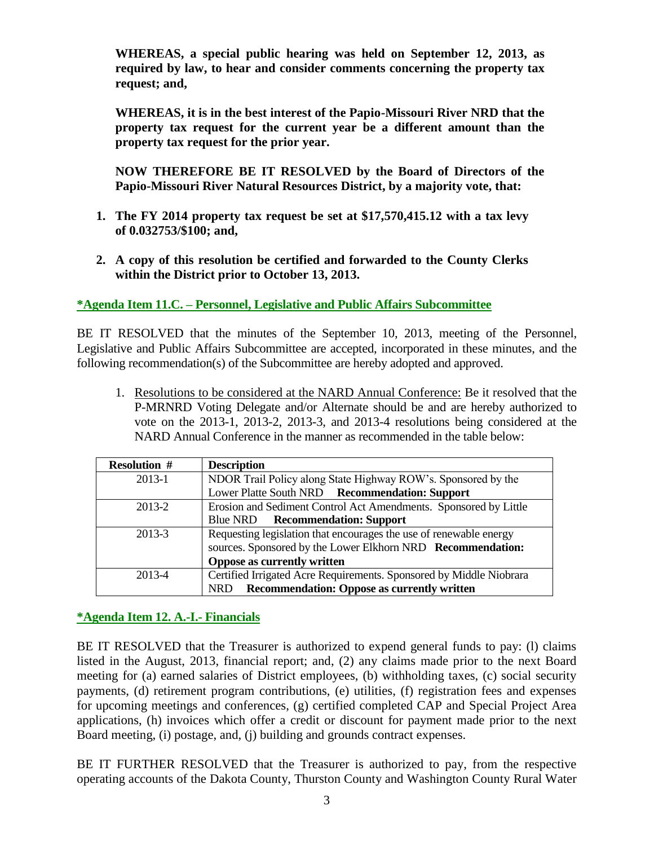**WHEREAS, a special public hearing was held on September 12, 2013, as required by law, to hear and consider comments concerning the property tax request; and,**

**WHEREAS, it is in the best interest of the Papio-Missouri River NRD that the property tax request for the current year be a different amount than the property tax request for the prior year.**

**NOW THEREFORE BE IT RESOLVED by the Board of Directors of the Papio-Missouri River Natural Resources District, by a majority vote, that:**

- **1. The FY 2014 property tax request be set at \$17,570,415.12 with a tax levy of 0.032753/\$100; and,**
- **2. A copy of this resolution be certified and forwarded to the County Clerks within the District prior to October 13, 2013.**

# **\*Agenda Item 11.C. – Personnel, Legislative and Public Affairs Subcommittee**

BE IT RESOLVED that the minutes of the September 10, 2013, meeting of the Personnel, Legislative and Public Affairs Subcommittee are accepted, incorporated in these minutes, and the following recommendation(s) of the Subcommittee are hereby adopted and approved.

1. Resolutions to be considered at the NARD Annual Conference: Be it resolved that the P-MRNRD Voting Delegate and/or Alternate should be and are hereby authorized to vote on the 2013-1, 2013-2, 2013-3, and 2013-4 resolutions being considered at the NARD Annual Conference in the manner as recommended in the table below:

| <b>Resolution #</b> | <b>Description</b>                                                  |
|---------------------|---------------------------------------------------------------------|
| 2013-1              | NDOR Trail Policy along State Highway ROW's. Sponsored by the       |
|                     | Lower Platte South NRD Recommendation: Support                      |
| 2013-2              | Erosion and Sediment Control Act Amendments. Sponsored by Little    |
|                     | Blue NRD Recommendation: Support                                    |
| 2013-3              | Requesting legislation that encourages the use of renewable energy  |
|                     | sources. Sponsored by the Lower Elkhorn NRD Recommendation:         |
|                     | <b>Oppose as currently written</b>                                  |
| 2013-4              | Certified Irrigated Acre Requirements. Sponsored by Middle Niobrara |
|                     | <b>Recommendation: Oppose as currently written</b><br><b>NRD</b>    |

### **\*Agenda Item 12. A.-I.- Financials**

BE IT RESOLVED that the Treasurer is authorized to expend general funds to pay: (l) claims listed in the August, 2013, financial report; and, (2) any claims made prior to the next Board meeting for (a) earned salaries of District employees, (b) withholding taxes, (c) social security payments, (d) retirement program contributions, (e) utilities, (f) registration fees and expenses for upcoming meetings and conferences, (g) certified completed CAP and Special Project Area applications, (h) invoices which offer a credit or discount for payment made prior to the next Board meeting, (i) postage, and, (j) building and grounds contract expenses.

BE IT FURTHER RESOLVED that the Treasurer is authorized to pay, from the respective operating accounts of the Dakota County, Thurston County and Washington County Rural Water